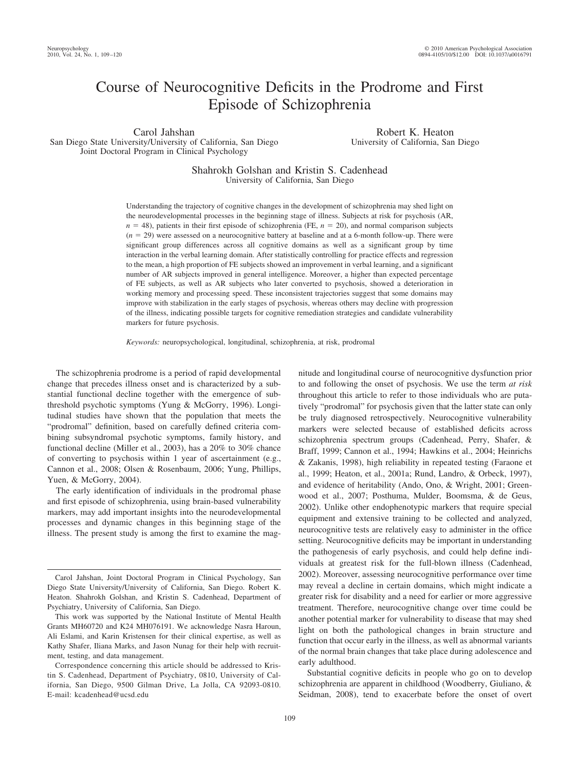# Course of Neurocognitive Deficits in the Prodrome and First Episode of Schizophrenia

Carol Jahshan

San Diego State University/University of California, San Diego Joint Doctoral Program in Clinical Psychology

Robert K. Heaton University of California, San Diego

Shahrokh Golshan and Kristin S. Cadenhead University of California, San Diego

Understanding the trajectory of cognitive changes in the development of schizophrenia may shed light on the neurodevelopmental processes in the beginning stage of illness. Subjects at risk for psychosis (AR,  $n = 48$ ), patients in their first episode of schizophrenia (FE,  $n = 20$ ), and normal comparison subjects (*n* 29) were assessed on a neurocognitive battery at baseline and at a 6-month follow-up. There were significant group differences across all cognitive domains as well as a significant group by time interaction in the verbal learning domain. After statistically controlling for practice effects and regression to the mean, a high proportion of FE subjects showed an improvement in verbal learning, and a significant number of AR subjects improved in general intelligence. Moreover, a higher than expected percentage of FE subjects, as well as AR subjects who later converted to psychosis, showed a deterioration in working memory and processing speed. These inconsistent trajectories suggest that some domains may improve with stabilization in the early stages of psychosis, whereas others may decline with progression of the illness, indicating possible targets for cognitive remediation strategies and candidate vulnerability markers for future psychosis.

*Keywords:* neuropsychological, longitudinal, schizophrenia, at risk, prodromal

The schizophrenia prodrome is a period of rapid developmental change that precedes illness onset and is characterized by a substantial functional decline together with the emergence of subthreshold psychotic symptoms (Yung & McGorry, 1996). Longitudinal studies have shown that the population that meets the "prodromal" definition, based on carefully defined criteria combining subsyndromal psychotic symptoms, family history, and functional decline (Miller et al., 2003), has a 20% to 30% chance of converting to psychosis within 1 year of ascertainment (e.g., Cannon et al., 2008; Olsen & Rosenbaum, 2006; Yung, Phillips, Yuen, & McGorry, 2004).

The early identification of individuals in the prodromal phase and first episode of schizophrenia, using brain-based vulnerability markers, may add important insights into the neurodevelopmental processes and dynamic changes in this beginning stage of the illness. The present study is among the first to examine the magnitude and longitudinal course of neurocognitive dysfunction prior to and following the onset of psychosis. We use the term *at risk* throughout this article to refer to those individuals who are putatively "prodromal" for psychosis given that the latter state can only be truly diagnosed retrospectively. Neurocognitive vulnerability markers were selected because of established deficits across schizophrenia spectrum groups (Cadenhead, Perry, Shafer, & Braff, 1999; Cannon et al., 1994; Hawkins et al., 2004; Heinrichs & Zakanis, 1998), high reliability in repeated testing (Faraone et al., 1999; Heaton, et al., 2001a; Rund, Landro, & Orbeck, 1997), and evidence of heritability (Ando, Ono, & Wright, 2001; Greenwood et al., 2007; Posthuma, Mulder, Boomsma, & de Geus, 2002). Unlike other endophenotypic markers that require special equipment and extensive training to be collected and analyzed, neurocognitive tests are relatively easy to administer in the office setting. Neurocognitive deficits may be important in understanding the pathogenesis of early psychosis, and could help define individuals at greatest risk for the full-blown illness (Cadenhead, 2002). Moreover, assessing neurocognitive performance over time may reveal a decline in certain domains, which might indicate a greater risk for disability and a need for earlier or more aggressive treatment. Therefore, neurocognitive change over time could be another potential marker for vulnerability to disease that may shed light on both the pathological changes in brain structure and function that occur early in the illness, as well as abnormal variants of the normal brain changes that take place during adolescence and early adulthood.

Substantial cognitive deficits in people who go on to develop schizophrenia are apparent in childhood (Woodberry, Giuliano, & Seidman, 2008), tend to exacerbate before the onset of overt

Carol Jahshan, Joint Doctoral Program in Clinical Psychology, San Diego State University/University of California, San Diego. Robert K. Heaton. Shahrokh Golshan, and Kristin S. Cadenhead, Department of Psychiatry, University of California, San Diego.

This work was supported by the National Institute of Mental Health Grants MH60720 and K24 MH076191. We acknowledge Nasra Haroun, Ali Eslami, and Karin Kristensen for their clinical expertise, as well as Kathy Shafer, Iliana Marks, and Jason Nunag for their help with recruitment, testing, and data management.

Correspondence concerning this article should be addressed to Kristin S. Cadenhead, Department of Psychiatry, 0810, University of California, San Diego, 9500 Gilman Drive, La Jolla, CA 92093-0810. E-mail: kcadenhead@ucsd.edu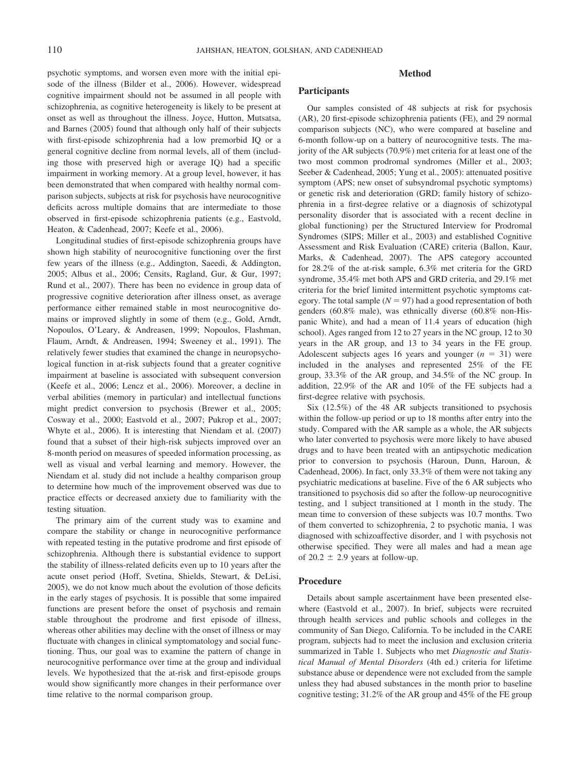psychotic symptoms, and worsen even more with the initial episode of the illness (Bilder et al., 2006). However, widespread cognitive impairment should not be assumed in all people with schizophrenia, as cognitive heterogeneity is likely to be present at onset as well as throughout the illness. Joyce, Hutton, Mutsatsa, and Barnes (2005) found that although only half of their subjects with first-episode schizophrenia had a low premorbid IQ or a general cognitive decline from normal levels, all of them (including those with preserved high or average IQ) had a specific impairment in working memory. At a group level, however, it has been demonstrated that when compared with healthy normal comparison subjects, subjects at risk for psychosis have neurocognitive deficits across multiple domains that are intermediate to those observed in first-episode schizophrenia patients (e.g., Eastvold, Heaton, & Cadenhead, 2007; Keefe et al., 2006).

Longitudinal studies of first-episode schizophrenia groups have shown high stability of neurocognitive functioning over the first few years of the illness (e.g., Addington, Saeedi, & Addington, 2005; Albus et al., 2006; Censits, Ragland, Gur, & Gur, 1997; Rund et al., 2007). There has been no evidence in group data of progressive cognitive deterioration after illness onset, as average performance either remained stable in most neurocognitive domains or improved slightly in some of them (e.g., Gold, Arndt, Nopoulos, O'Leary, & Andreasen, 1999; Nopoulos, Flashman, Flaum, Arndt, & Andreasen, 1994; Sweeney et al., 1991). The relatively fewer studies that examined the change in neuropsychological function in at-risk subjects found that a greater cognitive impairment at baseline is associated with subsequent conversion (Keefe et al., 2006; Lencz et al., 2006). Moreover, a decline in verbal abilities (memory in particular) and intellectual functions might predict conversion to psychosis (Brewer et al., 2005; Cosway et al., 2000; Eastvold et al., 2007; Pukrop et al., 2007; Whyte et al., 2006). It is interesting that Niendam et al. (2007) found that a subset of their high-risk subjects improved over an 8-month period on measures of speeded information processing, as well as visual and verbal learning and memory. However, the Niendam et al. study did not include a healthy comparison group to determine how much of the improvement observed was due to practice effects or decreased anxiety due to familiarity with the testing situation.

The primary aim of the current study was to examine and compare the stability or change in neurocognitive performance with repeated testing in the putative prodrome and first episode of schizophrenia. Although there is substantial evidence to support the stability of illness-related deficits even up to 10 years after the acute onset period (Hoff, Svetina, Shields, Stewart, & DeLisi, 2005), we do not know much about the evolution of those deficits in the early stages of psychosis. It is possible that some impaired functions are present before the onset of psychosis and remain stable throughout the prodrome and first episode of illness, whereas other abilities may decline with the onset of illness or may fluctuate with changes in clinical symptomatology and social functioning. Thus, our goal was to examine the pattern of change in neurocognitive performance over time at the group and individual levels. We hypothesized that the at-risk and first-episode groups would show significantly more changes in their performance over time relative to the normal comparison group.

#### **Method**

## **Participants**

Our samples consisted of 48 subjects at risk for psychosis (AR), 20 first-episode schizophrenia patients (FE), and 29 normal comparison subjects (NC), who were compared at baseline and 6-month follow-up on a battery of neurocognitive tests. The majority of the AR subjects (70.9%) met criteria for at least one of the two most common prodromal syndromes (Miller et al., 2003; Seeber & Cadenhead, 2005; Yung et al., 2005): attenuated positive symptom (APS; new onset of subsyndromal psychotic symptoms) or genetic risk and deterioration (GRD; family history of schizophrenia in a first-degree relative or a diagnosis of schizotypal personality disorder that is associated with a recent decline in global functioning) per the Structured Interview for Prodromal Syndromes (SIPS; Miller et al., 2003) and established Cognitive Assessment and Risk Evaluation (CARE) criteria (Ballon, Kaur, Marks, & Cadenhead, 2007). The APS category accounted for 28.2% of the at-risk sample, 6.3% met criteria for the GRD syndrome, 35.4% met both APS and GRD criteria, and 29.1% met criteria for the brief limited intermittent psychotic symptoms category. The total sample  $(N = 97)$  had a good representation of both genders (60.8% male), was ethnically diverse (60.8% non-Hispanic White), and had a mean of 11.4 years of education (high school). Ages ranged from 12 to 27 years in the NC group, 12 to 30 years in the AR group, and 13 to 34 years in the FE group. Adolescent subjects ages 16 years and younger  $(n = 31)$  were included in the analyses and represented 25% of the FE group, 33.3% of the AR group, and 34.5% of the NC group. In addition, 22.9% of the AR and 10% of the FE subjects had a first-degree relative with psychosis.

Six (12.5%) of the 48 AR subjects transitioned to psychosis within the follow-up period or up to 18 months after entry into the study. Compared with the AR sample as a whole, the AR subjects who later converted to psychosis were more likely to have abused drugs and to have been treated with an antipsychotic medication prior to conversion to psychosis (Haroun, Dunn, Haroun, & Cadenhead, 2006). In fact, only 33.3% of them were not taking any psychiatric medications at baseline. Five of the 6 AR subjects who transitioned to psychosis did so after the follow-up neurocognitive testing, and 1 subject transitioned at 1 month in the study. The mean time to conversion of these subjects was 10.7 months. Two of them converted to schizophrenia, 2 to psychotic mania, 1 was diagnosed with schizoaffective disorder, and 1 with psychosis not otherwise specified. They were all males and had a mean age of 20.2  $\pm$  2.9 years at follow-up.

### **Procedure**

Details about sample ascertainment have been presented elsewhere (Eastvold et al., 2007). In brief, subjects were recruited through health services and public schools and colleges in the community of San Diego, California. To be included in the CARE program, subjects had to meet the inclusion and exclusion criteria summarized in Table 1. Subjects who met *Diagnostic and Statistical Manual of Mental Disorders* (4th ed.) criteria for lifetime substance abuse or dependence were not excluded from the sample unless they had abused substances in the month prior to baseline cognitive testing; 31.2% of the AR group and 45% of the FE group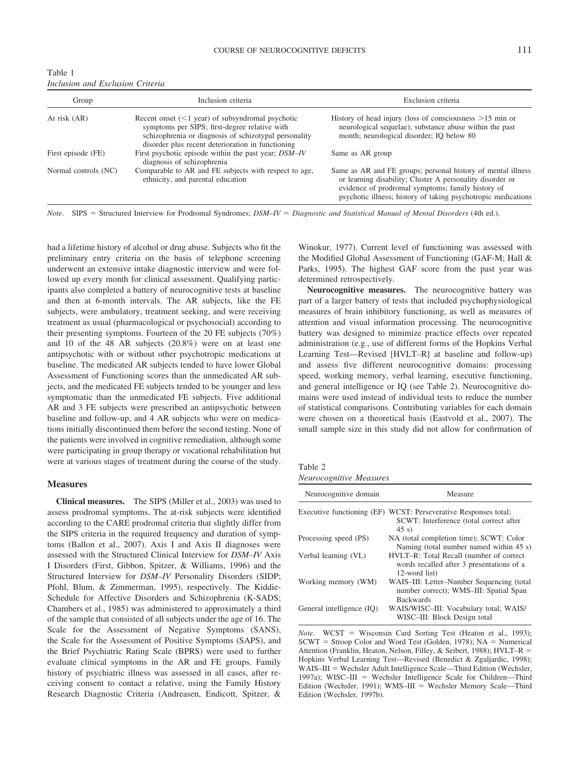| Table 1 |                                  |  |
|---------|----------------------------------|--|
|         | Inclusion and Exclusion Criteria |  |

| Group                | Inclusion criteria                                                                                                                                                                                                | Exclusion criteria                                                                                                                                                                                                                              |
|----------------------|-------------------------------------------------------------------------------------------------------------------------------------------------------------------------------------------------------------------|-------------------------------------------------------------------------------------------------------------------------------------------------------------------------------------------------------------------------------------------------|
| At risk (AR)         | Recent onset $(<1$ year) of subsyndromal psychotic<br>symptoms per SIPS; first-degree relative with<br>schizophrenia or diagnosis of schizotypal personality<br>disorder plus recent deterioration in functioning | History of head injury (loss of consciousness $>15$ min or<br>neurological sequelae); substance abuse within the past<br>month; neurological disorder; IQ below 80                                                                              |
| First episode (FE)   | First psychotic episode within the past year; <i>DSM-IV</i><br>diagnosis of schizophrenia                                                                                                                         | Same as AR group                                                                                                                                                                                                                                |
| Normal controls (NC) | Comparable to AR and FE subjects with respect to age,<br>ethnicity, and parental education                                                                                                                        | Same as AR and FE groups; personal history of mental illness<br>or learning disability; Cluster A personality disorder or<br>evidence of prodromal symptoms; family history of<br>psychotic illness; history of taking psychotropic medications |

*Note.* SIPS = Structured Interview for Prodromal Syndromes; *DSM–IV* = *Diagnostic and Statistical Manual of Mental Disorders* (4th ed.).

had a lifetime history of alcohol or drug abuse. Subjects who fit the preliminary entry criteria on the basis of telephone screening underwent an extensive intake diagnostic interview and were followed up every month for clinical assessment. Qualifying participants also completed a battery of neurocognitive tests at baseline and then at 6-month intervals. The AR subjects, like the FE subjects, were ambulatory, treatment seeking, and were receiving treatment as usual (pharmacological or psychosocial) according to their presenting symptoms. Fourteen of the 20 FE subjects (70%) and 10 of the 48 AR subjects (20.8%) were on at least one antipsychotic with or without other psychotropic medications at baseline. The medicated AR subjects tended to have lower Global Assessment of Functioning scores than the unmedicated AR subjects, and the medicated FE subjects tended to be younger and less symptomatic than the unmedicated FE subjects. Five additional AR and 3 FE subjects were prescribed an antipsychotic between baseline and follow-up, and 4 AR subjects who were on medications initially discontinued them before the second testing. None of the patients were involved in cognitive remediation, although some were participating in group therapy or vocational rehabilitation but were at various stages of treatment during the course of the study.

#### **Measures**

**Clinical measures.** The SIPS (Miller et al., 2003) was used to assess prodromal symptoms. The at-risk subjects were identified according to the CARE prodromal criteria that slightly differ from the SIPS criteria in the required frequency and duration of symptoms (Ballon et al., 2007). Axis I and Axis II diagnoses were assessed with the Structured Clinical Interview for *DSM–IV* Axis I Disorders (First, Gibbon, Spitzer, & Williams, 1996) and the Structured Interview for *DSM–IV* Personality Disorders (SIDP; Pfohl, Blum, & Zimmerman, 1995), respectively. The Kiddie-Schedule for Affective Disorders and Schizophrenia (K-SADS; Chambers et al., 1985) was administered to approximately a third of the sample that consisted of all subjects under the age of 16. The Scale for the Assessment of Negative Symptoms (SANS), the Scale for the Assessment of Positive Symptoms (SAPS), and the Brief Psychiatric Rating Scale (BPRS) were used to further evaluate clinical symptoms in the AR and FE groups. Family history of psychiatric illness was assessed in all cases, after receiving consent to contact a relative, using the Family History Research Diagnostic Criteria (Andreasen, Endicott, Spitzer, & Winokur, 1977). Current level of functioning was assessed with the Modified Global Assessment of Functioning (GAF-M; Hall & Parks, 1995). The highest GAF score from the past year was determined retrospectively.

**Neurocognitive measures.** The neurocognitive battery was part of a larger battery of tests that included psychophysiological measures of brain inhibitory functioning, as well as measures of attention and visual information processing. The neurocognitive battery was designed to minimize practice effects over repeated administration (e.g., use of different forms of the Hopkins Verbal Learning Test—Revised [HVLT–R] at baseline and follow-up) and assess five different neurocognitive domains: processing speed, working memory, verbal learning, executive functioning, and general intelligence or IQ (see Table 2). Neurocognitive domains were used instead of individual tests to reduce the number of statistical comparisons. Contributing variables for each domain were chosen on a theoretical basis (Eastvold et al., 2007). The small sample size in this study did not allow for confirmation of

| Table 2                        |  |
|--------------------------------|--|
| <b>Neurocognitive Measures</b> |  |

| Neurocognitive domain     | Measure                                                                                                 |
|---------------------------|---------------------------------------------------------------------------------------------------------|
|                           | Executive functioning (EF) WCST: Perseverative Responses total;                                         |
|                           | SCWT: Interference (total correct after<br>45 s)                                                        |
| Processing speed (PS)     | NA (total completion time); SCWT: Color<br>Naming (total number named within 45 s)                      |
| Verbal learning (VL)      | HVLT-R: Total Recall (number of correct<br>words recalled after 3 presentations of a                    |
|                           | 12-word list)                                                                                           |
| Working memory (WM)       | WAIS-III: Letter-Number Sequencing (total<br>number correct); WMS-III: Spatial Span<br><b>Backwards</b> |
| General intelligence (IO) | WAIS/WISC-III: Vocabulary total; WAIS/<br>WISC-III: Block Design total                                  |

*Note*. WCST = Wisconsin Card Sorting Test (Heaton et al., 1993);  $SCWT =$  Stroop Color and Word Test (Golden, 1978); NA = Numerical Attention (Franklin, Heaton, Nelson, Filley, & Seibert, 1988); HVLT–R Hopkins Verbal Learning Test—Revised (Benedict & Zgaljardic, 1998); WAIS-III = Wechsler Adult Intelligence Scale—Third Edition (Wechsler, 1997a); WISC-III = Wechsler Intelligence Scale for Children-Third Edition (Wechsler, 1991); WMS–III = Wechsler Memory Scale—Third Edition (Wechsler, 1997b).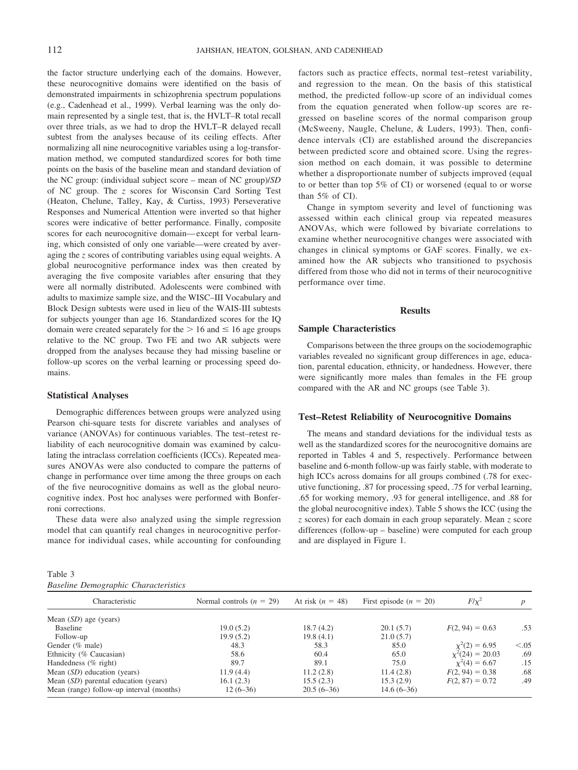the factor structure underlying each of the domains. However, these neurocognitive domains were identified on the basis of demonstrated impairments in schizophrenia spectrum populations (e.g., Cadenhead et al., 1999). Verbal learning was the only domain represented by a single test, that is, the HVLT–R total recall over three trials, as we had to drop the HVLT–R delayed recall subtest from the analyses because of its ceiling effects. After normalizing all nine neurocognitive variables using a log-transformation method, we computed standardized scores for both time points on the basis of the baseline mean and standard deviation of the NC group: (individual subject score – mean of NC group)/*SD* of NC group. The *z* scores for Wisconsin Card Sorting Test (Heaton, Chelune, Talley, Kay, & Curtiss, 1993) Perseverative Responses and Numerical Attention were inverted so that higher scores were indicative of better performance. Finally, composite scores for each neurocognitive domain— except for verbal learning, which consisted of only one variable—were created by averaging the *z* scores of contributing variables using equal weights. A global neurocognitive performance index was then created by averaging the five composite variables after ensuring that they were all normally distributed. Adolescents were combined with adults to maximize sample size, and the WISC–III Vocabulary and Block Design subtests were used in lieu of the WAIS-III subtests for subjects younger than age 16. Standardized scores for the IQ domain were created separately for the  $> 16$  and  $\leq 16$  age groups relative to the NC group. Two FE and two AR subjects were dropped from the analyses because they had missing baseline or follow-up scores on the verbal learning or processing speed domains.

## **Statistical Analyses**

Demographic differences between groups were analyzed using Pearson chi-square tests for discrete variables and analyses of variance (ANOVAs) for continuous variables. The test–retest reliability of each neurocognitive domain was examined by calculating the intraclass correlation coefficients (ICCs). Repeated measures ANOVAs were also conducted to compare the patterns of change in performance over time among the three groups on each of the five neurocognitive domains as well as the global neurocognitive index. Post hoc analyses were performed with Bonferroni corrections.

These data were also analyzed using the simple regression model that can quantify real changes in neurocognitive performance for individual cases, while accounting for confounding

| Table 3 |                                             |  |
|---------|---------------------------------------------|--|
|         | <b>Baseline Demographic Characteristics</b> |  |

factors such as practice effects, normal test–retest variability, and regression to the mean. On the basis of this statistical method, the predicted follow-up score of an individual comes from the equation generated when follow-up scores are regressed on baseline scores of the normal comparison group (McSweeny, Naugle, Chelune, & Luders, 1993). Then, confidence intervals (CI) are established around the discrepancies between predicted score and obtained score. Using the regression method on each domain, it was possible to determine whether a disproportionate number of subjects improved (equal to or better than top 5% of CI) or worsened (equal to or worse than 5% of CI).

Change in symptom severity and level of functioning was assessed within each clinical group via repeated measures ANOVAs, which were followed by bivariate correlations to examine whether neurocognitive changes were associated with changes in clinical symptoms or GAF scores. Finally, we examined how the AR subjects who transitioned to psychosis differed from those who did not in terms of their neurocognitive performance over time.

#### **Results**

#### **Sample Characteristics**

Comparisons between the three groups on the sociodemographic variables revealed no significant group differences in age, education, parental education, ethnicity, or handedness. However, there were significantly more males than females in the FE group compared with the AR and NC groups (see Table 3).

#### **Test–Retest Reliability of Neurocognitive Domains**

The means and standard deviations for the individual tests as well as the standardized scores for the neurocognitive domains are reported in Tables 4 and 5, respectively. Performance between baseline and 6-month follow-up was fairly stable, with moderate to high ICCs across domains for all groups combined (.78 for executive functioning, .87 for processing speed, .75 for verbal learning, .65 for working memory, .93 for general intelligence, and .88 for the global neurocognitive index). Table 5 shows the ICC (using the *z* scores) for each domain in each group separately. Mean *z* score differences (follow-up – baseline) were computed for each group and are displayed in Figure 1.

| Characteristic                                     | Normal controls $(n = 29)$ | At risk $(n = 48)$ | First episode $(n = 20)$ | $F/\chi^2$           |        |
|----------------------------------------------------|----------------------------|--------------------|--------------------------|----------------------|--------|
| Mean $(SD)$ age (years)                            |                            |                    |                          |                      |        |
| Baseline                                           | 19.0(5.2)                  | 18.7(4.2)          | 20.1(5.7)                | $F(2, 94) = 0.63$    | .53    |
| Follow-up                                          | 19.9(5.2)                  | 19.8(4.1)          | 21.0(5.7)                |                      |        |
| Gender (% male)                                    | 48.3                       | 58.3               | 85.0                     | $\chi^2(2) = 6.95$   | < 0.05 |
| Ethnicity (% Caucasian)                            | 58.6                       | 60.4               | 65.0                     | $\chi^2(24) = 20.03$ | .69    |
| Handedness $(\%$ right)                            | 89.7                       | 89.1               | 75.0                     | $\chi^2(4) = 6.67$   | .15    |
| Mean <i>(SD)</i> education <i>(years)</i>          | 11.9(4.4)                  | 11.2(2.8)          | 11.4(2.8)                | $F(2, 94) = 0.38$    | .68    |
| Mean <i>(SD)</i> parental education <i>(years)</i> | 16.1(2.3)                  | 15.5(2.3)          | 15.3(2.9)                | $F(2, 87) = 0.72$    | .49    |
| Mean (range) follow-up interval (months)           | $12(6-36)$                 | $20.5(6-36)$       | $14.6(6-36)$             |                      |        |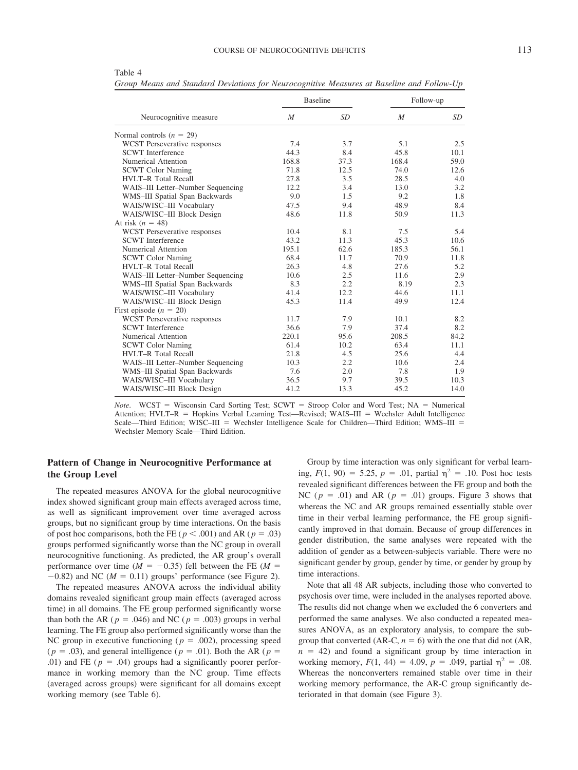|                                   | <b>Baseline</b>  |      | Follow-up        |      |
|-----------------------------------|------------------|------|------------------|------|
| Neurocognitive measure            | $\boldsymbol{M}$ | SD   | $\boldsymbol{M}$ | SD   |
| Normal controls $(n = 29)$        |                  |      |                  |      |
| WCST Perseverative responses      | 7.4              | 3.7  | 5.1              | 2.5  |
| <b>SCWT</b> Interference          | 44.3             | 8.4  | 45.8             | 10.1 |
| Numerical Attention               | 168.8            | 37.3 | 168.4            | 59.0 |
| <b>SCWT Color Naming</b>          | 71.8             | 12.5 | 74.0             | 12.6 |
| HVLT-R Total Recall               | 27.8             | 3.5  | 28.5             | 4.0  |
| WAIS-III Letter-Number Sequencing | 12.2             | 3.4  | 13.0             | 3.2  |
| WMS-III Spatial Span Backwards    | 9.0              | 1.5  | 9.2              | 1.8  |
| WAIS/WISC-III Vocabulary          | 47.5             | 9.4  | 48.9             | 8.4  |
| WAIS/WISC-III Block Design        | 48.6             | 11.8 | 50.9             | 11.3 |
| At risk $(n = 48)$                |                  |      |                  |      |
| WCST Perseverative responses      | 10.4             | 8.1  | 7.5              | 5.4  |
| <b>SCWT</b> Interference          | 43.2             | 11.3 | 45.3             | 10.6 |
| Numerical Attention               | 195.1            | 62.6 | 185.3            | 56.1 |
| <b>SCWT Color Naming</b>          | 68.4             | 11.7 | 70.9             | 11.8 |
| <b>HVLT-R Total Recall</b>        | 26.3             | 4.8  | 27.6             | 5.2  |
| WAIS-III Letter-Number Sequencing | 10.6             | 2.5  | 11.6             | 2.9  |
| WMS-III Spatial Span Backwards    | 8.3              | 2.2  | 8.19             | 2.3  |
| WAIS/WISC-III Vocabulary          | 41.4             | 12.2 | 44.6             | 11.1 |
| WAIS/WISC-III Block Design        | 45.3             | 11.4 | 49.9             | 12.4 |
| First episode $(n = 20)$          |                  |      |                  |      |
| WCST Perseverative responses      | 11.7             | 7.9  | 10.1             | 8.2  |
| <b>SCWT</b> Interference          | 36.6             | 7.9  | 37.4             | 8.2  |
| Numerical Attention               | 220.1            | 95.6 | 208.5            | 84.2 |
| <b>SCWT Color Naming</b>          | 61.4             | 10.2 | 63.4             | 11.1 |
| <b>HVLT-R Total Recall</b>        | 21.8             | 4.5  | 25.6             | 4.4  |
| WAIS-III Letter-Number Sequencing | 10.3             | 2.2  | 10.6             | 2.4  |
| WMS-III Spatial Span Backwards    | 7.6              | 2.0  | 7.8              | 1.9  |
| WAIS/WISC-III Vocabulary          | 36.5             | 9.7  | 39.5             | 10.3 |
| WAIS/WISC-III Block Design        | 41.2             | 13.3 | 45.2             | 14.0 |

Table 4 *Group Means and Standard Deviations for Neurocognitive Measures at Baseline and Follow-Up*

*Note.* WCST = Wisconsin Card Sorting Test; SCWT = Stroop Color and Word Test; NA = Numerical Attention;  $HVLT-R = Hopkins$  Verbal Learning Test—Revised; WAIS–III = Wechsler Adult Intelligence Scale—Third Edition; WISC-III = Wechsler Intelligence Scale for Children—Third Edition; WMS-III = Wechsler Memory Scale—Third Edition.

## **Pattern of Change in Neurocognitive Performance at the Group Level**

The repeated measures ANOVA for the global neurocognitive index showed significant group main effects averaged across time, as well as significant improvement over time averaged across groups, but no significant group by time interactions. On the basis of post hoc comparisons, both the FE ( $p < .001$ ) and AR ( $p = .03$ ) groups performed significantly worse than the NC group in overall neurocognitive functioning. As predicted, the AR group's overall performance over time ( $M = -0.35$ ) fell between the FE ( $M =$  $-0.82$ ) and NC ( $M = 0.11$ ) groups' performance (see Figure 2).

The repeated measures ANOVA across the individual ability domains revealed significant group main effects (averaged across time) in all domains. The FE group performed significantly worse than both the AR ( $p = .046$ ) and NC ( $p = .003$ ) groups in verbal learning. The FE group also performed significantly worse than the NC group in executive functioning ( $p = .002$ ), processing speed  $(p = .03)$ , and general intelligence  $(p = .01)$ . Both the AR  $(p = .03)$ .01) and FE ( $p = .04$ ) groups had a significantly poorer performance in working memory than the NC group. Time effects (averaged across groups) were significant for all domains except working memory (see Table 6).

Group by time interaction was only significant for verbal learning,  $F(1, 90) = 5.25$ ,  $p = .01$ , partial  $\eta^2 = .10$ . Post hoc tests revealed significant differences between the FE group and both the NC ( $p = .01$ ) and AR ( $p = .01$ ) groups. Figure 3 shows that whereas the NC and AR groups remained essentially stable over time in their verbal learning performance, the FE group significantly improved in that domain. Because of group differences in gender distribution, the same analyses were repeated with the addition of gender as a between-subjects variable. There were no significant gender by group, gender by time, or gender by group by time interactions.

Note that all 48 AR subjects, including those who converted to psychosis over time, were included in the analyses reported above. The results did not change when we excluded the 6 converters and performed the same analyses. We also conducted a repeated measures ANOVA, as an exploratory analysis, to compare the subgroup that converted (AR-C,  $n = 6$ ) with the one that did not (AR,  $n = 42$ ) and found a significant group by time interaction in working memory,  $F(1, 44) = 4.09$ ,  $p = .049$ , partial  $\eta^2 = .08$ . Whereas the nonconverters remained stable over time in their working memory performance, the AR-C group significantly deteriorated in that domain (see Figure 3).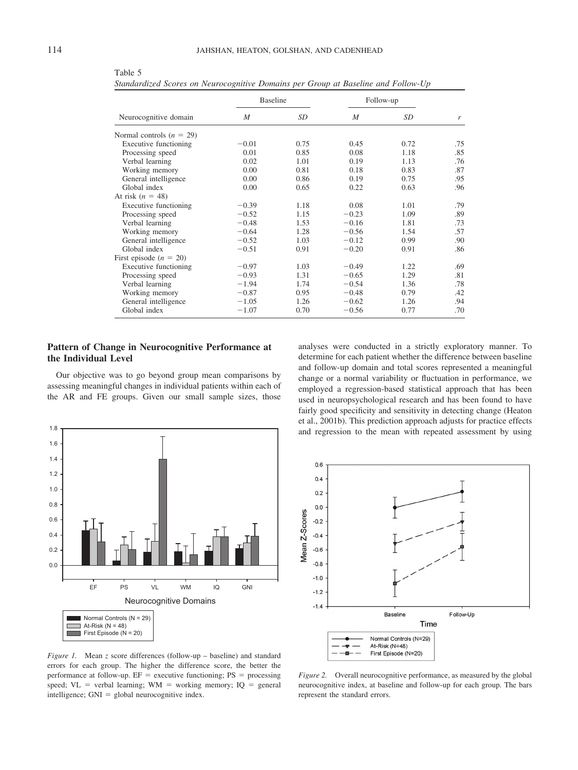|                            |         | <b>Baseline</b> |         | Follow-up |           |  |
|----------------------------|---------|-----------------|---------|-----------|-----------|--|
| Neurocognitive domain      | M       | SD              | M       | SD        | $r_{\rm}$ |  |
| Normal controls $(n = 29)$ |         |                 |         |           |           |  |
| Executive functioning      | $-0.01$ | 0.75            | 0.45    | 0.72      | .75       |  |
| Processing speed           | 0.01    | 0.85            | 0.08    | 1.18      | .85       |  |
| Verbal learning            | 0.02    | 1.01            | 0.19    | 1.13      | .76       |  |
| Working memory             | 0.00    | 0.81            | 0.18    | 0.83      | .87       |  |
| General intelligence       | 0.00    | 0.86            | 0.19    | 0.75      | .95       |  |
| Global index               | 0.00    | 0.65            | 0.22    | 0.63      | .96       |  |
| At risk $(n = 48)$         |         |                 |         |           |           |  |
| Executive functioning      | $-0.39$ | 1.18            | 0.08    | 1.01      | .79       |  |
| Processing speed           | $-0.52$ | 1.15            | $-0.23$ | 1.09      | .89       |  |
| Verbal learning            | $-0.48$ | 1.53            | $-0.16$ | 1.81      | .73       |  |
| Working memory             | $-0.64$ | 1.28            | $-0.56$ | 1.54      | .57       |  |
| General intelligence       | $-0.52$ | 1.03            | $-0.12$ | 0.99      | .90       |  |
| Global index               | $-0.51$ | 0.91            | $-0.20$ | 0.91      | .86       |  |
| First episode $(n = 20)$   |         |                 |         |           |           |  |
| Executive functioning      | $-0.97$ | 1.03            | $-0.49$ | 1.22      | .69       |  |
| Processing speed           | $-0.93$ | 1.31            | $-0.65$ | 1.29      | .81       |  |
| Verbal learning            | $-1.94$ | 1.74            | $-0.54$ | 1.36      | .78       |  |
| Working memory             | $-0.87$ | 0.95            | $-0.48$ | 0.79      | .42       |  |
| General intelligence       | $-1.05$ | 1.26            | $-0.62$ | 1.26      | .94       |  |
| Global index               | $-1.07$ | 0.70            | $-0.56$ | 0.77      | .70       |  |
|                            |         |                 |         |           |           |  |

Table 5 *Standardized Scores on Neurocognitive Domains per Group at Baseline and Follow-Up*

# **Pattern of Change in Neurocognitive Performance at the Individual Level**

Our objective was to go beyond group mean comparisons by assessing meaningful changes in individual patients within each of the AR and FE groups. Given our small sample sizes, those



analyses were conducted in a strictly exploratory manner. To determine for each patient whether the difference between baseline and follow-up domain and total scores represented a meaningful change or a normal variability or fluctuation in performance, we employed a regression-based statistical approach that has been used in neuropsychological research and has been found to have fairly good specificity and sensitivity in detecting change (Heaton et al., 2001b). This prediction approach adjusts for practice effects and regression to the mean with repeated assessment by using



*Figure 1.* Mean *z* score differences (follow-up – baseline) and standard errors for each group. The higher the difference score, the better the performance at follow-up.  $EF$  = executive functioning;  $PS$  = processing speed; VL = verbal learning; WM = working memory;  $IQ = general$ intelligence;  $GNI =$  global neurocognitive index.

*Figure 2.* Overall neurocognitive performance, as measured by the global neurocognitive index, at baseline and follow-up for each group. The bars represent the standard errors.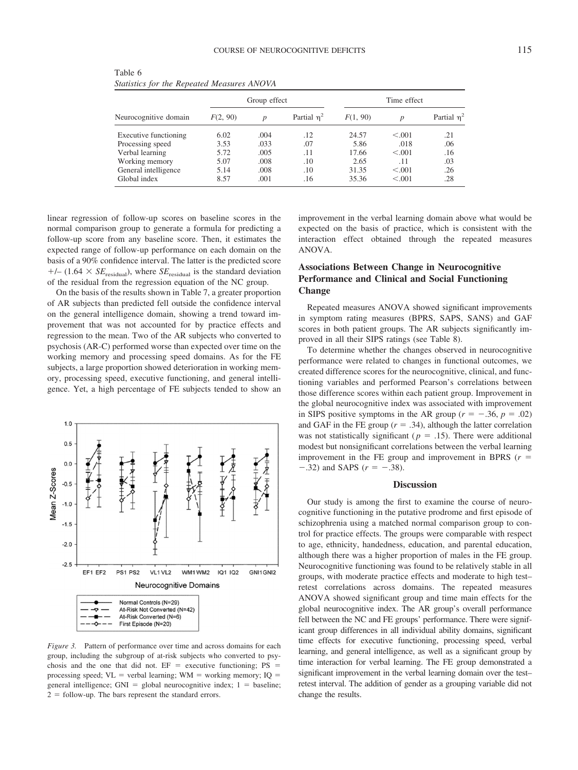| $sum \, \mu$ or the Repeated measures through |          |                  |                  |          |             |                  |
|-----------------------------------------------|----------|------------------|------------------|----------|-------------|------------------|
| Neurocognitive domain                         |          | Group effect     |                  |          | Time effect |                  |
|                                               | F(2, 90) | $\boldsymbol{p}$ | Partial $\eta^2$ | F(1, 90) | p           | Partial $\eta^2$ |
| Executive functioning                         | 6.02     | .004             | .12              | 24.57    | < 0.001     | .21              |
| Processing speed                              | 3.53     | .033             | .07              | 5.86     | .018        | .06              |
| Verbal learning                               | 5.72     | .005             | .11              | 17.66    | < 0.001     | .16              |
| Working memory                                | 5.07     | .008             | .10              | 2.65     | .11         | .03              |
| General intelligence                          | 5.14     | .008             | .10              | 31.35    | < 0.001     | .26              |
| Global index                                  | 8.57     | .001             | .16              | 35.36    | < 0.001     | .28              |

Table 6 *Statistics for the Repeated Measures ANOVA*

linear regression of follow-up scores on baseline scores in the normal comparison group to generate a formula for predicting a follow-up score from any baseline score. Then, it estimates the expected range of follow-up performance on each domain on the basis of a 90% confidence interval. The latter is the predicted score  $+/-$  (1.64  $\times$  *SE*<sub>residual</sub>), where *SE*<sub>residual</sub> is the standard deviation of the residual from the regression equation of the NC group.

On the basis of the results shown in Table 7, a greater proportion of AR subjects than predicted fell outside the confidence interval on the general intelligence domain, showing a trend toward improvement that was not accounted for by practice effects and regression to the mean. Two of the AR subjects who converted to psychosis (AR-C) performed worse than expected over time on the working memory and processing speed domains. As for the FE subjects, a large proportion showed deterioration in working memory, processing speed, executive functioning, and general intelligence. Yet, a high percentage of FE subjects tended to show an



*Figure 3.* Pattern of performance over time and across domains for each group, including the subgroup of at-risk subjects who converted to psychosis and the one that did not.  $EF =$  executive functioning;  $PS =$ processing speed;  $VL$  = verbal learning;  $WM$  = working memory;  $IQ$  = general intelligence; GNI = global neurocognitive index;  $1 =$  baseline;  $2 =$  follow-up. The bars represent the standard errors.

improvement in the verbal learning domain above what would be expected on the basis of practice, which is consistent with the interaction effect obtained through the repeated measures ANOVA.

# **Associations Between Change in Neurocognitive Performance and Clinical and Social Functioning Change**

Repeated measures ANOVA showed significant improvements in symptom rating measures (BPRS, SAPS, SANS) and GAF scores in both patient groups. The AR subjects significantly improved in all their SIPS ratings (see Table 8).

To determine whether the changes observed in neurocognitive performance were related to changes in functional outcomes, we created difference scores for the neurocognitive, clinical, and functioning variables and performed Pearson's correlations between those difference scores within each patient group. Improvement in the global neurocognitive index was associated with improvement in SIPS positive symptoms in the AR group ( $r = -.36$ ,  $p = .02$ ) and GAF in the FE group  $(r = .34)$ , although the latter correlation was not statistically significant ( $p = .15$ ). There were additional modest but nonsignificant correlations between the verbal learning improvement in the FE group and improvement in BPRS  $(r =$  $-.32$ ) and SAPS ( $r = -.38$ ).

#### **Discussion**

Our study is among the first to examine the course of neurocognitive functioning in the putative prodrome and first episode of schizophrenia using a matched normal comparison group to control for practice effects. The groups were comparable with respect to age, ethnicity, handedness, education, and parental education, although there was a higher proportion of males in the FE group. Neurocognitive functioning was found to be relatively stable in all groups, with moderate practice effects and moderate to high test– retest correlations across domains. The repeated measures ANOVA showed significant group and time main effects for the global neurocognitive index. The AR group's overall performance fell between the NC and FE groups' performance. There were significant group differences in all individual ability domains, significant time effects for executive functioning, processing speed, verbal learning, and general intelligence, as well as a significant group by time interaction for verbal learning. The FE group demonstrated a significant improvement in the verbal learning domain over the test– retest interval. The addition of gender as a grouping variable did not change the results.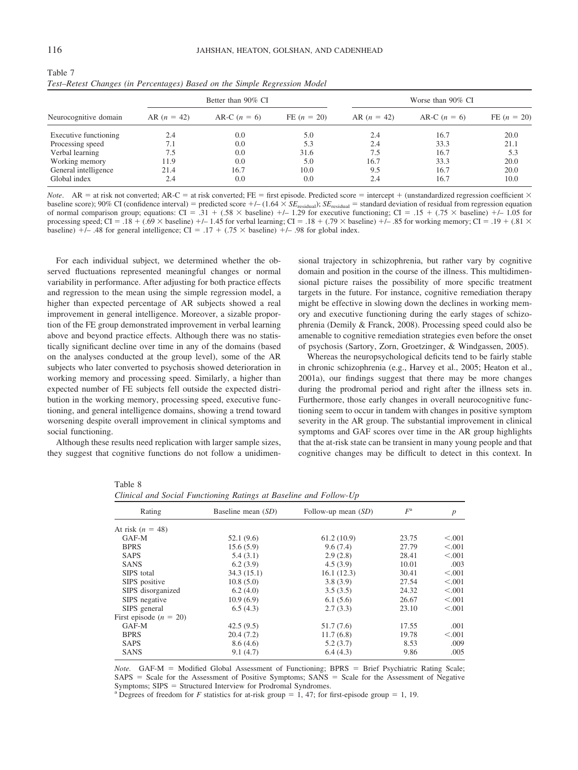|                       |               | Better than 90% CI |               |               | Worse than 90% CI |               |
|-----------------------|---------------|--------------------|---------------|---------------|-------------------|---------------|
| Neurocognitive domain | $AR (n = 42)$ | AR-C $(n = 6)$     | FE $(n = 20)$ | $AR (n = 42)$ | AR-C $(n = 6)$    | FE $(n = 20)$ |
| Executive functioning | 2.4           | 0.0                | 5.0           | 2.4           | 16.7              | 20.0          |
| Processing speed      | 7.1           | 0.0                | 5.3           | 2.4           | 33.3              | 21.1          |
| Verbal learning       | 7.5           | 0.0                | 31.6          | 7.5           | 16.7              | 5.3           |
| Working memory        | 11.9          | 0.0                | 5.0           | 16.7          | 33.3              | 20.0          |
| General intelligence  | 21.4          | 16.7               | 10.0          | 9.5           | 16.7              | 20.0          |
| Global index          | 2.4           | 0.0                | 0.0           | 2.4           | 16.7              | 10.0          |

| Table 7                                                                   |  |  |  |
|---------------------------------------------------------------------------|--|--|--|
| Test-Retest Changes (in Percentages) Based on the Simple Regression Model |  |  |  |

*Note*. AR = at risk not converted; AR-C = at risk converted; FE = first episode. Predicted score = intercept + (unstandardized regression coefficient  $\times$ baseline score); 90% CI (confidence interval) = predicted score  $+/-$  (1.64  $\times$  *SE*<sub>residual</sub>); *SE*<sub>residual</sub> = standard deviation of residual from regression equation of normal comparison group; equations: CI = .31 + (.58  $\times$  baseline) +/- 1.29 for executive functioning; CI = .15 + (.75  $\times$  baseline) +/- 1.05 for processing speed; CI = .18 + (.69  $\times$  baseline) +/- 1.45 for verbal learning; CI = .18 + (.79  $\times$  baseline) +/- .85 for working memory; CI = .19 + (.81  $\times$ baseline)  $+/-$  .48 for general intelligence; CI = .17 + (.75  $\times$  baseline)  $+/-$  .98 for global index.

For each individual subject, we determined whether the observed fluctuations represented meaningful changes or normal variability in performance. After adjusting for both practice effects and regression to the mean using the simple regression model, a higher than expected percentage of AR subjects showed a real improvement in general intelligence. Moreover, a sizable proportion of the FE group demonstrated improvement in verbal learning above and beyond practice effects. Although there was no statistically significant decline over time in any of the domains (based on the analyses conducted at the group level), some of the AR subjects who later converted to psychosis showed deterioration in working memory and processing speed. Similarly, a higher than expected number of FE subjects fell outside the expected distribution in the working memory, processing speed, executive functioning, and general intelligence domains, showing a trend toward worsening despite overall improvement in clinical symptoms and social functioning.

Although these results need replication with larger sample sizes, they suggest that cognitive functions do not follow a unidimensional trajectory in schizophrenia, but rather vary by cognitive domain and position in the course of the illness. This multidimensional picture raises the possibility of more specific treatment targets in the future. For instance, cognitive remediation therapy might be effective in slowing down the declines in working memory and executive functioning during the early stages of schizophrenia (Demily & Franck, 2008). Processing speed could also be amenable to cognitive remediation strategies even before the onset of psychosis (Sartory, Zorn, Groetzinger, & Windgassen, 2005).

Whereas the neuropsychological deficits tend to be fairly stable in chronic schizophrenia (e.g., Harvey et al., 2005; Heaton et al., 2001a), our findings suggest that there may be more changes during the prodromal period and right after the illness sets in. Furthermore, those early changes in overall neurocognitive functioning seem to occur in tandem with changes in positive symptom severity in the AR group. The substantial improvement in clinical symptoms and GAF scores over time in the AR group highlights that the at-risk state can be transient in many young people and that cognitive changes may be difficult to detect in this context. In

| ۹. | ۱ |
|----|---|
|----|---|

| Clinical and Social Functioning Ratings at Baseline and Follow-Up |  |  |  |  |
|-------------------------------------------------------------------|--|--|--|--|
|-------------------------------------------------------------------|--|--|--|--|

| Rating                   | Baseline mean (SD) | Follow-up mean $(SD)$ | $F^{\rm a}$ | $\boldsymbol{p}$ |
|--------------------------|--------------------|-----------------------|-------------|------------------|
| At risk $(n = 48)$       |                    |                       |             |                  |
| GAF-M                    | 52.1(9.6)          | 61.2(10.9)            | 23.75       | < 0.001          |
| <b>BPRS</b>              | 15.6(5.9)          | 9.6(7.4)              | 27.79       | < 0.001          |
| <b>SAPS</b>              | 5.4(3.1)           | 2.9(2.8)              | 28.41       | < 0.001          |
| <b>SANS</b>              | 6.2(3.9)           | 4.5(3.9)              | 10.01       | .003             |
| SIPS total               | 34.3(15.1)         | 16.1(12.3)            | 30.41       | < 0.001          |
| SIPS positive            | 10.8(5.0)          | 3.8(3.9)              | 27.54       | < 0.001          |
| SIPS disorganized        | 6.2(4.0)           | 3.5(3.5)              | 24.32       | < 0.001          |
| SIPS negative            | 10.9(6.9)          | 6.1(5.6)              | 26.67       | < 0.001          |
| SIPS general             | 6.5(4.3)           | 2.7(3.3)              | 23.10       | < 0.001          |
| First episode $(n = 20)$ |                    |                       |             |                  |
| GAF-M                    | 42.5(9.5)          | 51.7(7.6)             | 17.55       | .001             |
| <b>BPRS</b>              | 20.4(7.2)          | 11.7(6.8)             | 19.78       | < 0.001          |
| <b>SAPS</b>              | 8.6(4.6)           | 5.2(3.7)              | 8.53        | .009             |
| <b>SANS</b>              | 9.1(4.7)           | 6.4(4.3)              | 9.86        | .005             |

*Note.* GAF-M = Modified Global Assessment of Functioning; BPRS = Brief Psychiatric Rating Scale;  $SAPS = Scale$  for the Assessment of Positive Symptoms;  $SANS = Scale$  for the Assessment of Negative Symptoms; SIPS = Structured Interview for Prodromal Syndromes.<br><sup>a</sup> Degrees of freedom for *F* statistics for at-risk group = 1, 47; for first-episode group = 1, 19.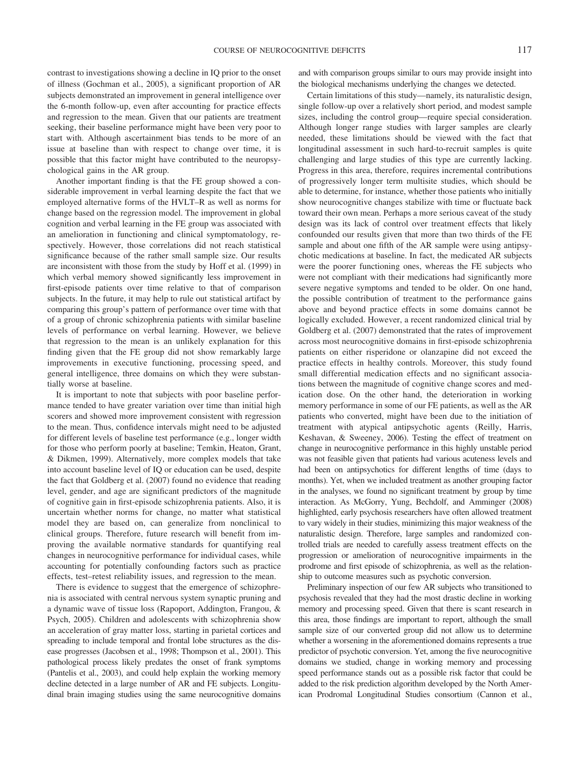contrast to investigations showing a decline in IQ prior to the onset of illness (Gochman et al., 2005), a significant proportion of AR subjects demonstrated an improvement in general intelligence over the 6-month follow-up, even after accounting for practice effects and regression to the mean. Given that our patients are treatment seeking, their baseline performance might have been very poor to start with. Although ascertainment bias tends to be more of an issue at baseline than with respect to change over time, it is possible that this factor might have contributed to the neuropsychological gains in the AR group.

Another important finding is that the FE group showed a considerable improvement in verbal learning despite the fact that we employed alternative forms of the HVLT–R as well as norms for change based on the regression model. The improvement in global cognition and verbal learning in the FE group was associated with an amelioration in functioning and clinical symptomatology, respectively. However, those correlations did not reach statistical significance because of the rather small sample size. Our results are inconsistent with those from the study by Hoff et al. (1999) in which verbal memory showed significantly less improvement in first-episode patients over time relative to that of comparison subjects. In the future, it may help to rule out statistical artifact by comparing this group's pattern of performance over time with that of a group of chronic schizophrenia patients with similar baseline levels of performance on verbal learning. However, we believe that regression to the mean is an unlikely explanation for this finding given that the FE group did not show remarkably large improvements in executive functioning, processing speed, and general intelligence, three domains on which they were substantially worse at baseline.

It is important to note that subjects with poor baseline performance tended to have greater variation over time than initial high scorers and showed more improvement consistent with regression to the mean. Thus, confidence intervals might need to be adjusted for different levels of baseline test performance (e.g., longer width for those who perform poorly at baseline; Temkin, Heaton, Grant, & Dikmen, 1999). Alternatively, more complex models that take into account baseline level of IQ or education can be used, despite the fact that Goldberg et al. (2007) found no evidence that reading level, gender, and age are significant predictors of the magnitude of cognitive gain in first-episode schizophrenia patients. Also, it is uncertain whether norms for change, no matter what statistical model they are based on, can generalize from nonclinical to clinical groups. Therefore, future research will benefit from improving the available normative standards for quantifying real changes in neurocognitive performance for individual cases, while accounting for potentially confounding factors such as practice effects, test–retest reliability issues, and regression to the mean.

There is evidence to suggest that the emergence of schizophrenia is associated with central nervous system synaptic pruning and a dynamic wave of tissue loss (Rapoport, Addington, Frangou, & Psych, 2005). Children and adolescents with schizophrenia show an acceleration of gray matter loss, starting in parietal cortices and spreading to include temporal and frontal lobe structures as the disease progresses (Jacobsen et al., 1998; Thompson et al., 2001). This pathological process likely predates the onset of frank symptoms (Pantelis et al., 2003), and could help explain the working memory decline detected in a large number of AR and FE subjects. Longitudinal brain imaging studies using the same neurocognitive domains and with comparison groups similar to ours may provide insight into the biological mechanisms underlying the changes we detected.

Certain limitations of this study—namely, its naturalistic design, single follow-up over a relatively short period, and modest sample sizes, including the control group—require special consideration. Although longer range studies with larger samples are clearly needed, these limitations should be viewed with the fact that longitudinal assessment in such hard-to-recruit samples is quite challenging and large studies of this type are currently lacking. Progress in this area, therefore, requires incremental contributions of progressively longer term multisite studies, which should be able to determine, for instance, whether those patients who initially show neurocognitive changes stabilize with time or fluctuate back toward their own mean. Perhaps a more serious caveat of the study design was its lack of control over treatment effects that likely confounded our results given that more than two thirds of the FE sample and about one fifth of the AR sample were using antipsychotic medications at baseline. In fact, the medicated AR subjects were the poorer functioning ones, whereas the FE subjects who were not compliant with their medications had significantly more severe negative symptoms and tended to be older. On one hand, the possible contribution of treatment to the performance gains above and beyond practice effects in some domains cannot be logically excluded. However, a recent randomized clinical trial by Goldberg et al. (2007) demonstrated that the rates of improvement across most neurocognitive domains in first-episode schizophrenia patients on either risperidone or olanzapine did not exceed the practice effects in healthy controls. Moreover, this study found small differential medication effects and no significant associations between the magnitude of cognitive change scores and medication dose. On the other hand, the deterioration in working memory performance in some of our FE patients, as well as the AR patients who converted, might have been due to the initiation of treatment with atypical antipsychotic agents (Reilly, Harris, Keshavan, & Sweeney, 2006). Testing the effect of treatment on change in neurocognitive performance in this highly unstable period was not feasible given that patients had various acuteness levels and had been on antipsychotics for different lengths of time (days to months). Yet, when we included treatment as another grouping factor in the analyses, we found no significant treatment by group by time interaction. As McGorry, Yung, Bechdolf, and Amminger (2008) highlighted, early psychosis researchers have often allowed treatment to vary widely in their studies, minimizing this major weakness of the naturalistic design. Therefore, large samples and randomized controlled trials are needed to carefully assess treatment effects on the progression or amelioration of neurocognitive impairments in the prodrome and first episode of schizophrenia, as well as the relationship to outcome measures such as psychotic conversion.

Preliminary inspection of our few AR subjects who transitioned to psychosis revealed that they had the most drastic decline in working memory and processing speed. Given that there is scant research in this area, those findings are important to report, although the small sample size of our converted group did not allow us to determine whether a worsening in the aforementioned domains represents a true predictor of psychotic conversion. Yet, among the five neurocognitive domains we studied, change in working memory and processing speed performance stands out as a possible risk factor that could be added to the risk prediction algorithm developed by the North American Prodromal Longitudinal Studies consortium (Cannon et al.,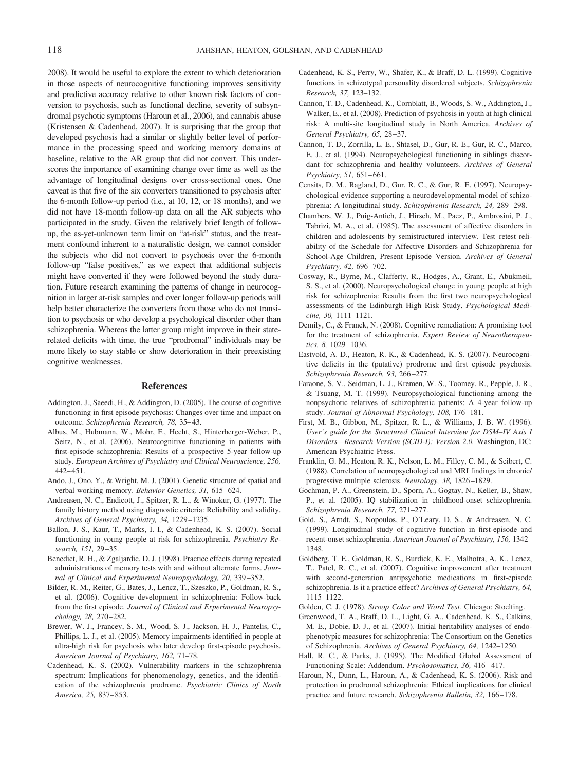2008). It would be useful to explore the extent to which deterioration in those aspects of neurocognitive functioning improves sensitivity and predictive accuracy relative to other known risk factors of conversion to psychosis, such as functional decline, severity of subsyndromal psychotic symptoms (Haroun et al., 2006), and cannabis abuse (Kristensen & Cadenhead, 2007). It is surprising that the group that developed psychosis had a similar or slightly better level of performance in the processing speed and working memory domains at baseline, relative to the AR group that did not convert. This underscores the importance of examining change over time as well as the advantage of longitudinal designs over cross-sectional ones. One caveat is that five of the six converters transitioned to psychosis after the 6-month follow-up period (i.e., at 10, 12, or 18 months), and we did not have 18-month follow-up data on all the AR subjects who participated in the study. Given the relatively brief length of followup, the as-yet-unknown term limit on "at-risk" status, and the treatment confound inherent to a naturalistic design, we cannot consider the subjects who did not convert to psychosis over the 6-month follow-up "false positives," as we expect that additional subjects might have converted if they were followed beyond the study duration. Future research examining the patterns of change in neurocognition in larger at-risk samples and over longer follow-up periods will help better characterize the converters from those who do not transition to psychosis or who develop a psychological disorder other than schizophrenia. Whereas the latter group might improve in their staterelated deficits with time, the true "prodromal" individuals may be more likely to stay stable or show deterioration in their preexisting cognitive weaknesses.

#### **References**

- Addington, J., Saeedi, H., & Addington, D. (2005). The course of cognitive functioning in first episode psychosis: Changes over time and impact on outcome. *Schizophrenia Research, 78,* 35– 43.
- Albus, M., Hubmann, W., Mohr, F., Hecht, S., Hinterberger-Weber, P., Seitz, N., et al. (2006). Neurocognitive functioning in patients with first-episode schizophrenia: Results of a prospective 5-year follow-up study. *European Archives of Psychiatry and Clinical Neuroscience, 256,*  $442 - 451$
- Ando, J., Ono, Y., & Wright, M. J. (2001). Genetic structure of spatial and verbal working memory. *Behavior Genetics*, 31, 615-624.
- Andreasen, N. C., Endicott, J., Spitzer, R. L., & Winokur, G. (1977). The family history method using diagnostic criteria: Reliability and validity. *Archives of General Psychiatry, 34,* 1229 –1235.
- Ballon, J. S., Kaur, T., Marks, I. I., & Cadenhead, K. S. (2007). Social functioning in young people at risk for schizophrenia. *Psychiatry Research, 151,* 29 –35.
- Benedict, R. H., & Zgaljardic, D. J. (1998). Practice effects during repeated administrations of memory tests with and without alternate forms. *Journal of Clinical and Experimental Neuropsychology, 20,* 339 –352.
- Bilder, R. M., Reiter, G., Bates, J., Lencz, T., Szeszko, P., Goldman, R. S., et al. (2006). Cognitive development in schizophrenia: Follow-back from the first episode. *Journal of Clinical and Experimental Neuropsychology, 28,* 270 –282.
- Brewer, W. J., Francey, S. M., Wood, S. J., Jackson, H. J., Pantelis, C., Phillips, L. J., et al. (2005). Memory impairments identified in people at ultra-high risk for psychosis who later develop first-episode psychosis. *American Journal of Psychiatry, 162,* 71–78.
- Cadenhead, K. S. (2002). Vulnerability markers in the schizophrenia spectrum: Implications for phenomenology, genetics, and the identification of the schizophrenia prodrome. *Psychiatric Clinics of North America, 25,* 837– 853.
- Cadenhead, K. S., Perry, W., Shafer, K., & Braff, D. L. (1999). Cognitive functions in schizotypal personality disordered subjects. *Schizophrenia Research, 37,* 123–132.
- Cannon, T. D., Cadenhead, K., Cornblatt, B., Woods, S. W., Addington, J., Walker, E., et al. (2008). Prediction of psychosis in youth at high clinical risk: A multi-site longitudinal study in North America. *Archives of General Psychiatry, 65,* 28 –37.
- Cannon, T. D., Zorrilla, L. E., Shtasel, D., Gur, R. E., Gur, R. C., Marco, E. J., et al. (1994). Neuropsychological functioning in siblings discordant for schizophrenia and healthy volunteers. *Archives of General Psychiatry, 51,* 651– 661.
- Censits, D. M., Ragland, D., Gur, R. C., & Gur, R. E. (1997). Neuropsychological evidence supporting a neurodevelopmental model of schizophrenia: A longitudinal study. *Schizophrenia Research, 24,* 289 –298.
- Chambers, W. J., Puig-Antich, J., Hirsch, M., Paez, P., Ambrosini, P. J., Tabrizi, M. A., et al. (1985). The assessment of affective disorders in children and adolescents by semistructured interview. Test–retest reliability of the Schedule for Affective Disorders and Schizophrenia for School-Age Children, Present Episode Version. *Archives of General Psychiatry, 42,* 696 –702.
- Cosway, R., Byrne, M., Clafferty, R., Hodges, A., Grant, E., Abukmeil, S. S., et al. (2000). Neuropsychological change in young people at high risk for schizophrenia: Results from the first two neuropsychological assessments of the Edinburgh High Risk Study. *Psychological Medicine, 30,* 1111–1121.
- Demily, C., & Franck, N. (2008). Cognitive remediation: A promising tool for the treatment of schizophrenia. *Expert Review of Neurotherapeutics, 8,* 1029 –1036.
- Eastvold, A. D., Heaton, R. K., & Cadenhead, K. S. (2007). Neurocognitive deficits in the (putative) prodrome and first episode psychosis. *Schizophrenia Research, 93,* 266 –277.
- Faraone, S. V., Seidman, L. J., Kremen, W. S., Toomey, R., Pepple, J. R., & Tsuang, M. T. (1999). Neuropsychological functioning among the nonpsychotic relatives of schizophrenic patients: A 4-year follow-up study. *Journal of Abnormal Psychology, 108,* 176 –181.
- First, M. B., Gibbon, M., Spitzer, R. L., & Williams, J. B. W. (1996). *User's guide for the Structured Clinical Interview for DSM–IV Axis I Disorders—Research Version (SCID-I): Version 2.0.* Washington, DC: American Psychiatric Press.
- Franklin, G. M., Heaton, R. K., Nelson, L. M., Filley, C. M., & Seibert, C. (1988). Correlation of neuropsychological and MRI findings in chronic/ progressive multiple sclerosis. *Neurology, 38,* 1826 –1829.
- Gochman, P. A., Greenstein, D., Sporn, A., Gogtay, N., Keller, B., Shaw, P., et al. (2005). IQ stabilization in childhood-onset schizophrenia. *Schizophrenia Research, 77,* 271–277.
- Gold, S., Arndt, S., Nopoulos, P., O'Leary, D. S., & Andreasen, N. C. (1999). Longitudinal study of cognitive function in first-episode and recent-onset schizophrenia. *American Journal of Psychiatry, 156,* 1342– 1348.
- Goldberg, T. E., Goldman, R. S., Burdick, K. E., Malhotra, A. K., Lencz, T., Patel, R. C., et al. (2007). Cognitive improvement after treatment with second-generation antipsychotic medications in first-episode schizophrenia. Is it a practice effect? *Archives of General Psychiatry, 64,* 1115–1122.
- Golden, C. J. (1978). *Stroop Color and Word Test.* Chicago: Stoelting.
- Greenwood, T. A., Braff, D. L., Light, G. A., Cadenhead, K. S., Calkins, M. E., Dobie, D. J., et al. (2007). Initial heritability analyses of endophenotypic measures for schizophrenia: The Consortium on the Genetics of Schizophrenia. *Archives of General Psychiatry, 64,* 1242–1250.
- Hall, R. C., & Parks, J. (1995). The Modified Global Assessment of Functioning Scale: Addendum. *Psychosomatics*, 36, 416-417.
- Haroun, N., Dunn, L., Haroun, A., & Cadenhead, K. S. (2006). Risk and protection in prodromal schizophrenia: Ethical implications for clinical practice and future research. *Schizophrenia Bulletin, 32,* 166 –178.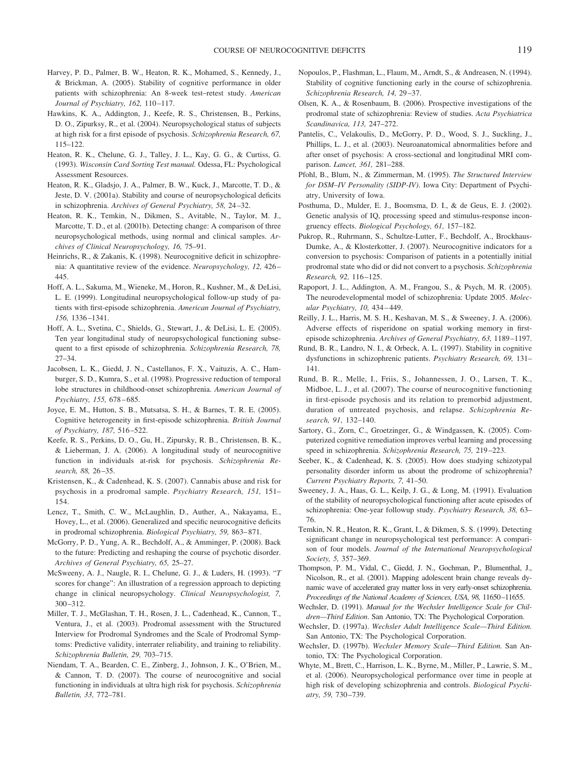- Harvey, P. D., Palmer, B. W., Heaton, R. K., Mohamed, S., Kennedy, J., & Brickman, A. (2005). Stability of cognitive performance in older patients with schizophrenia: An 8-week test–retest study. *American Journal of Psychiatry, 162, 110-117.*
- Hawkins, K. A., Addington, J., Keefe, R. S., Christensen, B., Perkins, D. O., Zipurksy, R., et al. (2004). Neuropsychological status of subjects at high risk for a first episode of psychosis. *Schizophrenia Research, 67,* 115–122.
- Heaton, R. K., Chelune, G. J., Talley, J. L., Kay, G. G., & Curtiss, G. (1993). *Wisconsin Card Sorting Test manual.* Odessa, FL: Psychological Assessment Resources.
- Heaton, R. K., Gladsjo, J. A., Palmer, B. W., Kuck, J., Marcotte, T. D., & Jeste, D. V. (2001a). Stability and course of neuropsychological deficits in schizophrenia. *Archives of General Psychiatry, 58,* 24 –32.
- Heaton, R. K., Temkin, N., Dikmen, S., Avitable, N., Taylor, M. J., Marcotte, T. D., et al. (2001b). Detecting change: A comparison of three neuropsychological methods, using normal and clinical samples. *Archives of Clinical Neuropsychology, 16,* 75–91.
- Heinrichs, R., & Zakanis, K. (1998). Neurocognitive deficit in schizophrenia: A quantitative review of the evidence. *Neuropsychology, 12,* 426 – 445.
- Hoff, A. L., Sakuma, M., Wieneke, M., Horon, R., Kushner, M., & DeLisi, L. E. (1999). Longitudinal neuropsychological follow-up study of patients with first-episode schizophrenia. *American Journal of Psychiatry, 156,* 1336 –1341.
- Hoff, A. L., Svetina, C., Shields, G., Stewart, J., & DeLisi, L. E. (2005). Ten year longitudinal study of neuropsychological functioning subsequent to a first episode of schizophrenia. *Schizophrenia Research, 78,* 27–34.
- Jacobsen, L. K., Giedd, J. N., Castellanos, F. X., Vaituzis, A. C., Hamburger, S. D., Kumra, S., et al. (1998). Progressive reduction of temporal lobe structures in childhood-onset schizophrenia. *American Journal of Psychiatry, 155,* 678 – 685.
- Joyce, E. M., Hutton, S. B., Mutsatsa, S. H., & Barnes, T. R. E. (2005). Cognitive heterogeneity in first-episode schizophrenia. *British Journal of Psychiatry, 187,* 516 –522.
- Keefe, R. S., Perkins, D. O., Gu, H., Zipursky, R. B., Christensen, B. K., & Lieberman, J. A. (2006). A longitudinal study of neurocognitive function in individuals at-risk for psychosis. *Schizophrenia Research, 88,* 26 –35.
- Kristensen, K., & Cadenhead, K. S. (2007). Cannabis abuse and risk for psychosis in a prodromal sample. *Psychiatry Research, 151,* 151– 154.
- Lencz, T., Smith, C. W., McLaughlin, D., Auther, A., Nakayama, E., Hovey, L., et al. (2006). Generalized and specific neurocognitive deficits in prodromal schizophrenia. *Biological Psychiatry, 59,* 863– 871.
- McGorry, P. D., Yung, A. R., Bechdolf, A., & Amminger, P. (2008). Back to the future: Predicting and reshaping the course of psychotic disorder. *Archives of General Psychiatry, 65,* 25–27.
- McSweeny, A. J., Naugle, R. I., Chelune, G. J., & Luders, H. (1993). "*T* scores for change": An illustration of a regression approach to depicting change in clinical neuropsychology. *Clinical Neuropsychologist, 7,*  $300 - 312$
- Miller, T. J., McGlashan, T. H., Rosen, J. L., Cadenhead, K., Cannon, T., Ventura, J., et al. (2003). Prodromal assessment with the Structured Interview for Prodromal Syndromes and the Scale of Prodromal Symptoms: Predictive validity, interrater reliability, and training to reliability. *Schizophrenia Bulletin, 29,* 703–715.
- Niendam, T. A., Bearden, C. E., Zinberg, J., Johnson, J. K., O'Brien, M., & Cannon, T. D. (2007). The course of neurocognitive and social functioning in individuals at ultra high risk for psychosis. *Schizophrenia Bulletin, 33,* 772–781.
- Nopoulos, P., Flashman, L., Flaum, M., Arndt, S., & Andreasen, N. (1994). Stability of cognitive functioning early in the course of schizophrenia. *Schizophrenia Research, 14,* 29 –37.
- Olsen, K. A., & Rosenbaum, B. (2006). Prospective investigations of the prodromal state of schizophrenia: Review of studies. *Acta Psychiatrica Scandinavica, 113,* 247–272.
- Pantelis, C., Velakoulis, D., McGorry, P. D., Wood, S. J., Suckling, J., Phillips, L. J., et al. (2003). Neuroanatomical abnormalities before and after onset of psychosis: A cross-sectional and longitudinal MRI comparison. *Lancet, 361,* 281–288.
- Pfohl, B., Blum, N., & Zimmerman, M. (1995). *The Structured Interview for DSM–IV Personality (SIDP-IV)*. Iowa City: Department of Psychiatry, University of Iowa.
- Posthuma, D., Mulder, E. J., Boomsma, D. I., & de Geus, E. J. (2002). Genetic analysis of IQ, processing speed and stimulus-response incongruency effects. *Biological Psychology, 61,* 157–182.
- Pukrop, R., Ruhrmann, S., Schultze-Lutter, F., Bechdolf, A., Brockhaus-Dumke, A., & Klosterkotter, J. (2007). Neurocognitive indicators for a conversion to psychosis: Comparison of patients in a potentially initial prodromal state who did or did not convert to a psychosis. *Schizophrenia Research, 92,* 116 –125.
- Rapoport, J. L., Addington, A. M., Frangou, S., & Psych, M. R. (2005). The neurodevelopmental model of schizophrenia: Update 2005. *Molecular Psychiatry, 10,* 434 – 449.
- Reilly, J. L., Harris, M. S. H., Keshavan, M. S., & Sweeney, J. A. (2006). Adverse effects of risperidone on spatial working memory in firstepisode schizophrenia. *Archives of General Psychiatry, 63,* 1189 –1197.
- Rund, B. R., Landro, N. I., & Orbeck, A. L. (1997). Stability in cognitive dysfunctions in schizophrenic patients. *Psychiatry Research, 69,* 131– 141.
- Rund, B. R., Melle, I., Friis, S., Johannessen, J. O., Larsen, T. K., Midboe, L. J., et al. (2007). The course of neurocognitive functioning in first-episode psychosis and its relation to premorbid adjustment, duration of untreated psychosis, and relapse. *Schizophrenia Research, 91,* 132–140.
- Sartory, G., Zorn, C., Groetzinger, G., & Windgassen, K. (2005). Computerized cognitive remediation improves verbal learning and processing speed in schizophrenia. *Schizophrenia Research, 75,* 219 –223.
- Seeber, K., & Cadenhead, K. S. (2005). How does studying schizotypal personality disorder inform us about the prodrome of schizophrenia? *Current Psychiatry Reports, 7,* 41–50.
- Sweeney, J. A., Haas, G. L., Keilp, J. G., & Long, M. (1991). Evaluation of the stability of neuropsychological functioning after acute episodes of schizophrenia: One-year followup study. *Psychiatry Research, 38,* 63– 76.
- Temkin, N. R., Heaton, R. K., Grant, I., & Dikmen, S. S. (1999). Detecting significant change in neuropsychological test performance: A comparison of four models. *Journal of the International Neuropsychological Society, 5,* 357–369.
- Thompson, P. M., Vidal, C., Giedd, J. N., Gochman, P., Blumenthal, J., Nicolson, R., et al. (2001). Mapping adolescent brain change reveals dynamic wave of accelerated gray matter loss in very early-onset schizophrenia. *Proceedings of the National Academy of Sciences, USA, 98,* 11650–11655.
- Wechsler, D. (1991). *Manual for the Wechsler Intelligence Scale for Children—Third Edition*. San Antonio, TX: The Psychological Corporation.
- Wechsler, D. (1997a). *Wechsler Adult Intelligence Scale—Third Edition.* San Antonio, TX: The Psychological Corporation.
- Wechsler, D. (1997b). *Wechsler Memory Scale—Third Edition.* San Antonio, TX: The Psychological Corporation.
- Whyte, M., Brett, C., Harrison, L. K., Byrne, M., Miller, P., Lawrie, S. M., et al. (2006). Neuropsychological performance over time in people at high risk of developing schizophrenia and controls. *Biological Psychiatry, 59,* 730 –739.